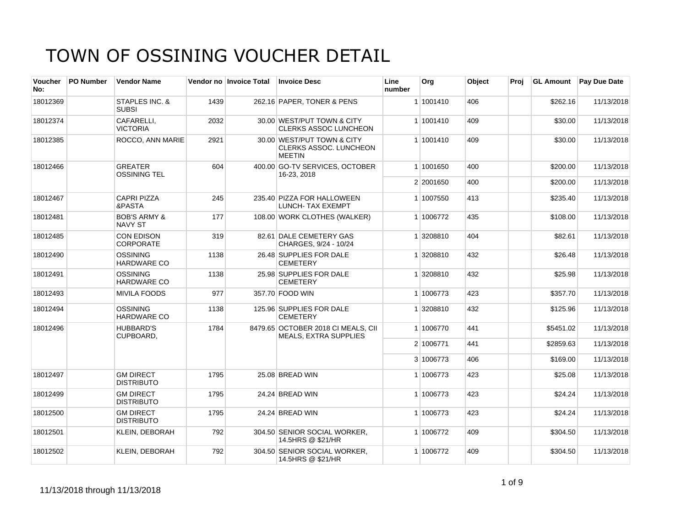| <b>Voucher</b><br>No: | PO Number | <b>Vendor Name</b>                        |      | Vendor no Invoice Total | <b>Invoice Desc</b>                                                   | Line<br>number | Org       | Object | Proi |           | <b>GL Amount</b> Pay Due Date |
|-----------------------|-----------|-------------------------------------------|------|-------------------------|-----------------------------------------------------------------------|----------------|-----------|--------|------|-----------|-------------------------------|
| 18012369              |           | <b>STAPLES INC. &amp;</b><br><b>SUBSI</b> | 1439 |                         | 262.16 PAPER, TONER & PENS                                            |                | 1 1001410 | 406    |      | \$262.16  | 11/13/2018                    |
| 18012374              |           | CAFARELLI.<br><b>VICTORIA</b>             | 2032 |                         | 30.00 WEST/PUT TOWN & CITY<br><b>CLERKS ASSOC LUNCHEON</b>            |                | 1 1001410 | 409    |      | \$30.00   | 11/13/2018                    |
| 18012385              |           | <b>ROCCO, ANN MARIE</b>                   | 2921 |                         | 30.00 WEST/PUT TOWN & CITY<br>CLERKS ASSOC. LUNCHEON<br><b>MEETIN</b> |                | 1 1001410 | 409    |      | \$30.00   | 11/13/2018                    |
| 18012466              |           | <b>GREATER</b><br><b>OSSINING TEL</b>     | 604  |                         | 400.00 GO-TV SERVICES, OCTOBER<br>16-23, 2018                         |                | 1 1001650 | 400    |      | \$200.00  | 11/13/2018                    |
|                       |           |                                           |      |                         |                                                                       |                | 2 2001650 | 400    |      | \$200.00  | 11/13/2018                    |
| 18012467              |           | <b>CAPRI PIZZA</b><br>&PASTA              | 245  |                         | 235.40 PIZZA FOR HALLOWEEN<br><b>LUNCH- TAX EXEMPT</b>                |                | 1 1007550 | 413    |      | \$235.40  | 11/13/2018                    |
| 18012481              |           | <b>BOB'S ARMY &amp;</b><br><b>NAVY ST</b> | 177  |                         | 108.00 WORK CLOTHES (WALKER)                                          |                | 1 1006772 | 435    |      | \$108.00  | 11/13/2018                    |
| 18012485              |           | <b>CON EDISON</b><br><b>CORPORATE</b>     | 319  |                         | 82.61 DALE CEMETERY GAS<br>CHARGES, 9/24 - 10/24                      |                | 1 3208810 | 404    |      | \$82.61   | 11/13/2018                    |
| 18012490              |           | OSSINING<br><b>HARDWARE CO</b>            | 1138 |                         | 26.48 SUPPLIES FOR DALE<br><b>CEMETERY</b>                            |                | 1 3208810 | 432    |      | \$26.48   | 11/13/2018                    |
| 18012491              |           | <b>OSSINING</b><br><b>HARDWARE CO</b>     | 1138 |                         | 25.98 SUPPLIES FOR DALE<br><b>CEMETERY</b>                            |                | 1 3208810 | 432    |      | \$25.98   | 11/13/2018                    |
| 18012493              |           | <b>MIVILA FOODS</b>                       | 977  |                         | 357.70 FOOD WIN                                                       |                | 1 1006773 | 423    |      | \$357.70  | 11/13/2018                    |
| 18012494              |           | <b>OSSINING</b><br><b>HARDWARE CO</b>     | 1138 |                         | 125.96 SUPPLIES FOR DALE<br><b>CEMETERY</b>                           |                | 1 3208810 | 432    |      | \$125.96  | 11/13/2018                    |
| 18012496              |           | <b>HUBBARD'S</b><br>CUPBOARD,             | 1784 |                         | 8479.65 OCTOBER 2018 CI MEALS, CII<br><b>MEALS, EXTRA SUPPLIES</b>    |                | 1 1006770 | 441    |      | \$5451.02 | 11/13/2018                    |
|                       |           |                                           |      |                         |                                                                       |                | 2 1006771 | 441    |      | \$2859.63 | 11/13/2018                    |
|                       |           |                                           |      |                         |                                                                       |                | 3 1006773 | 406    |      | \$169.00  | 11/13/2018                    |
| 18012497              |           | <b>GM DIRECT</b><br><b>DISTRIBUTO</b>     | 1795 |                         | 25.08 BREAD WIN                                                       |                | 1 1006773 | 423    |      | \$25.08   | 11/13/2018                    |
| 18012499              |           | <b>GM DIRECT</b><br><b>DISTRIBUTO</b>     | 1795 |                         | 24.24 BREAD WIN                                                       |                | 1 1006773 | 423    |      | \$24.24   | 11/13/2018                    |
| 18012500              |           | <b>GM DIRECT</b><br><b>DISTRIBUTO</b>     | 1795 |                         | 24.24 BREAD WIN                                                       |                | 1 1006773 | 423    |      | \$24.24   | 11/13/2018                    |
| 18012501              |           | <b>KLEIN, DEBORAH</b>                     | 792  |                         | 304.50 SENIOR SOCIAL WORKER,<br>14.5HRS @ \$21/HR                     |                | 1 1006772 | 409    |      | \$304.50  | 11/13/2018                    |
| 18012502              |           | KLEIN, DEBORAH                            | 792  |                         | 304.50 SENIOR SOCIAL WORKER,<br>14.5HRS @ \$21/HR                     |                | 1 1006772 | 409    |      | \$304.50  | 11/13/2018                    |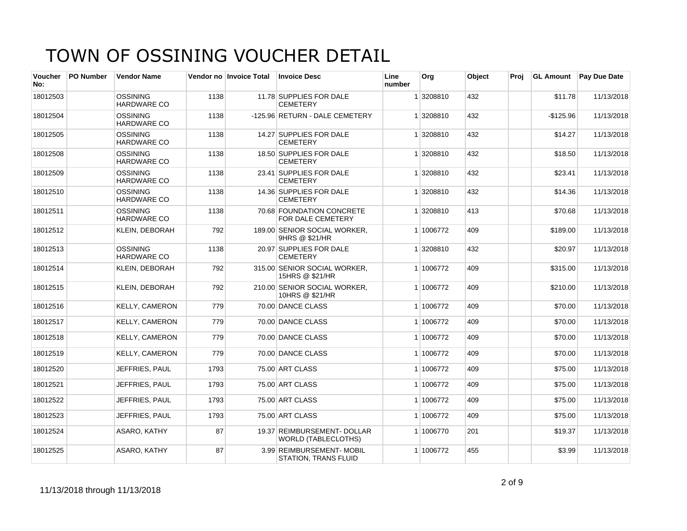| <b>Voucher</b><br>No: | <b>PO Number</b> | <b>Vendor Name</b>                    |      | Vendor no Invoice Total | <b>Invoice Desc</b>                                       | Line<br>number | Org       | Object | Proi | <b>GL Amount</b> | <b>Pay Due Date</b> |
|-----------------------|------------------|---------------------------------------|------|-------------------------|-----------------------------------------------------------|----------------|-----------|--------|------|------------------|---------------------|
| 18012503              |                  | <b>OSSINING</b><br><b>HARDWARE CO</b> | 1138 |                         | 11.78 SUPPLIES FOR DALE<br><b>CEMETERY</b>                |                | 1 3208810 | 432    |      | \$11.78          | 11/13/2018          |
| 18012504              |                  | <b>OSSINING</b><br><b>HARDWARE CO</b> | 1138 |                         | -125.96 RETURN - DALE CEMETERY                            |                | 1 3208810 | 432    |      | $-$125.96$       | 11/13/2018          |
| 18012505              |                  | <b>OSSINING</b><br><b>HARDWARE CO</b> | 1138 |                         | 14.27 SUPPLIES FOR DALE<br><b>CEMETERY</b>                |                | 1 3208810 | 432    |      | \$14.27          | 11/13/2018          |
| 18012508              |                  | OSSINING<br>HARDWARE CO               | 1138 |                         | 18.50 SUPPLIES FOR DALE<br><b>CEMETERY</b>                |                | 1 3208810 | 432    |      | \$18.50          | 11/13/2018          |
| 18012509              |                  | <b>OSSINING</b><br><b>HARDWARE CO</b> | 1138 |                         | 23.41 SUPPLIES FOR DALE<br><b>CEMETERY</b>                |                | 1 3208810 | 432    |      | \$23.41          | 11/13/2018          |
| 18012510              |                  | OSSINING<br><b>HARDWARE CO</b>        | 1138 |                         | 14.36 SUPPLIES FOR DALE<br><b>CEMETERY</b>                |                | 1 3208810 | 432    |      | \$14.36          | 11/13/2018          |
| 18012511              |                  | <b>OSSINING</b><br><b>HARDWARE CO</b> | 1138 |                         | 70.68 FOUNDATION CONCRETE<br>FOR DALE CEMETERY            |                | 1 3208810 | 413    |      | \$70.68          | 11/13/2018          |
| 18012512              |                  | <b>KLEIN, DEBORAH</b>                 | 792  |                         | 189.00 SENIOR SOCIAL WORKER.<br>9HRS @ \$21/HR            |                | 1 1006772 | 409    |      | \$189.00         | 11/13/2018          |
| 18012513              |                  | <b>OSSINING</b><br><b>HARDWARE CO</b> | 1138 |                         | 20.97 SUPPLIES FOR DALE<br><b>CEMETERY</b>                |                | 1 3208810 | 432    |      | \$20.97          | 11/13/2018          |
| 18012514              |                  | KLEIN, DEBORAH                        | 792  |                         | 315.00 SENIOR SOCIAL WORKER,<br>15HRS @ \$21/HR           |                | 1 1006772 | 409    |      | \$315.00         | 11/13/2018          |
| 18012515              |                  | <b>KLEIN, DEBORAH</b>                 | 792  |                         | 210.00 SENIOR SOCIAL WORKER,<br>10HRS @ \$21/HR           |                | 1 1006772 | 409    |      | \$210.00         | 11/13/2018          |
| 18012516              |                  | <b>KELLY, CAMERON</b>                 | 779  |                         | 70.00 DANCE CLASS                                         |                | 1 1006772 | 409    |      | \$70.00          | 11/13/2018          |
| 18012517              |                  | <b>KELLY, CAMERON</b>                 | 779  |                         | 70.00 DANCE CLASS                                         |                | 1 1006772 | 409    |      | \$70.00          | 11/13/2018          |
| 18012518              |                  | <b>KELLY, CAMERON</b>                 | 779  |                         | 70.00 DANCE CLASS                                         |                | 1 1006772 | 409    |      | \$70.00          | 11/13/2018          |
| 18012519              |                  | <b>KELLY, CAMERON</b>                 | 779  |                         | 70.00 DANCE CLASS                                         |                | 1 1006772 | 409    |      | \$70.00          | 11/13/2018          |
| 18012520              |                  | JEFFRIES, PAUL                        | 1793 |                         | 75.00 ART CLASS                                           |                | 1 1006772 | 409    |      | \$75.00          | 11/13/2018          |
| 18012521              |                  | JEFFRIES, PAUL                        | 1793 |                         | 75.00 ART CLASS                                           |                | 1 1006772 | 409    |      | \$75.00          | 11/13/2018          |
| 18012522              |                  | JEFFRIES, PAUL                        | 1793 |                         | 75.00 ART CLASS                                           |                | 1 1006772 | 409    |      | \$75.00          | 11/13/2018          |
| 18012523              |                  | JEFFRIES, PAUL                        | 1793 |                         | 75.00 ART CLASS                                           |                | 1 1006772 | 409    |      | \$75.00          | 11/13/2018          |
| 18012524              |                  | ASARO, KATHY                          | 87   |                         | 19.37 REIMBURSEMENT- DOLLAR<br><b>WORLD (TABLECLOTHS)</b> |                | 1 1006770 | 201    |      | \$19.37          | 11/13/2018          |
| 18012525              |                  | ASARO, KATHY                          | 87   |                         | 3.99 REIMBURSEMENT-MOBIL<br><b>STATION, TRANS FLUID</b>   |                | 1 1006772 | 455    |      | \$3.99           | 11/13/2018          |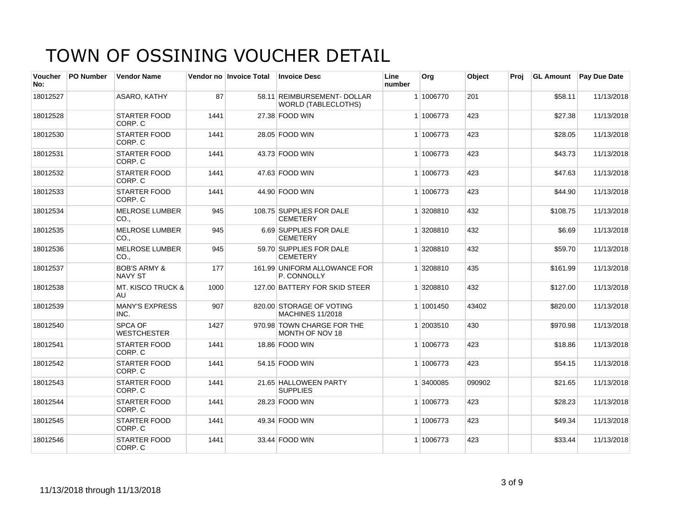| <b>Voucher</b><br>No: | <b>PO Number</b> | <b>Vendor Name</b>                        |      | Vendor no Invoice Total | <b>Invoice Desc</b>                                       | Line<br>number | Org       | Object | Proi | <b>GL Amount</b> | <b>Pay Due Date</b> |
|-----------------------|------------------|-------------------------------------------|------|-------------------------|-----------------------------------------------------------|----------------|-----------|--------|------|------------------|---------------------|
| 18012527              |                  | ASARO, KATHY                              | 87   |                         | 58.11 REIMBURSEMENT- DOLLAR<br><b>WORLD (TABLECLOTHS)</b> |                | 1 1006770 | 201    |      | \$58.11          | 11/13/2018          |
| 18012528              |                  | <b>STARTER FOOD</b><br>CORP. C            | 1441 |                         | 27.38 FOOD WIN                                            |                | 1 1006773 | 423    |      | \$27.38          | 11/13/2018          |
| 18012530              |                  | <b>STARTER FOOD</b><br>CORP. C            | 1441 |                         | 28.05 FOOD WIN                                            |                | 1 1006773 | 423    |      | \$28.05          | 11/13/2018          |
| 18012531              |                  | <b>STARTER FOOD</b><br>CORP. C            | 1441 |                         | 43.73 FOOD WIN                                            |                | 1 1006773 | 423    |      | \$43.73          | 11/13/2018          |
| 18012532              |                  | <b>STARTER FOOD</b><br>CORP. C            | 1441 |                         | 47.63 FOOD WIN                                            |                | 1 1006773 | 423    |      | \$47.63          | 11/13/2018          |
| 18012533              |                  | <b>STARTER FOOD</b><br>CORP. C            | 1441 |                         | 44.90 FOOD WIN                                            |                | 1 1006773 | 423    |      | \$44.90          | 11/13/2018          |
| 18012534              |                  | MELROSE LUMBER<br>CO.,                    | 945  |                         | 108.75 SUPPLIES FOR DALE<br><b>CEMETERY</b>               |                | 1 3208810 | 432    |      | \$108.75         | 11/13/2018          |
| 18012535              |                  | <b>MELROSE LUMBER</b><br>CO.              | 945  |                         | 6.69 SUPPLIES FOR DALE<br><b>CEMETERY</b>                 |                | 1 3208810 | 432    |      | \$6.69           | 11/13/2018          |
| 18012536              |                  | <b>MELROSE LUMBER</b><br>CO.,             | 945  |                         | 59.70 SUPPLIES FOR DALE<br><b>CEMETERY</b>                |                | 1 3208810 | 432    |      | \$59.70          | 11/13/2018          |
| 18012537              |                  | <b>BOB'S ARMY &amp;</b><br><b>NAVY ST</b> | 177  |                         | 161.99 UNIFORM ALLOWANCE FOR<br>P. CONNOLLY               |                | 1 3208810 | 435    |      | \$161.99         | 11/13/2018          |
| 18012538              |                  | <b>MT. KISCO TRUCK &amp;</b><br>AU        | 1000 |                         | 127.00 BATTERY FOR SKID STEER                             |                | 1 3208810 | 432    |      | \$127.00         | 11/13/2018          |
| 18012539              |                  | MANY'S EXPRESS<br>INC.                    | 907  |                         | 820.00 STORAGE OF VOTING<br><b>MACHINES 11/2018</b>       |                | 1 1001450 | 43402  |      | \$820.00         | 11/13/2018          |
| 18012540              |                  | SPCA OF<br><b>WESTCHESTER</b>             | 1427 |                         | 970.98 TOWN CHARGE FOR THE<br>MONTH OF NOV 18             |                | 1 2003510 | 430    |      | \$970.98         | 11/13/2018          |
| 18012541              |                  | STARTER FOOD<br>CORP. C                   | 1441 |                         | 18.86 FOOD WIN                                            |                | 1 1006773 | 423    |      | \$18.86          | 11/13/2018          |
| 18012542              |                  | <b>STARTER FOOD</b><br>CORP. C            | 1441 |                         | 54.15 FOOD WIN                                            |                | 1 1006773 | 423    |      | \$54.15          | 11/13/2018          |
| 18012543              |                  | <b>STARTER FOOD</b><br>CORP. C            | 1441 |                         | 21.65 HALLOWEEN PARTY<br><b>SUPPLIES</b>                  |                | 1 3400085 | 090902 |      | \$21.65          | 11/13/2018          |
| 18012544              |                  | <b>STARTER FOOD</b><br>CORP. C            | 1441 |                         | 28.23 FOOD WIN                                            |                | 1 1006773 | 423    |      | \$28.23          | 11/13/2018          |
| 18012545              |                  | <b>STARTER FOOD</b><br>CORP. C            | 1441 |                         | 49.34 FOOD WIN                                            |                | 1 1006773 | 423    |      | \$49.34          | 11/13/2018          |
| 18012546              |                  | <b>STARTER FOOD</b><br>CORP. C            | 1441 |                         | 33.44 FOOD WIN                                            |                | 1 1006773 | 423    |      | \$33.44          | 11/13/2018          |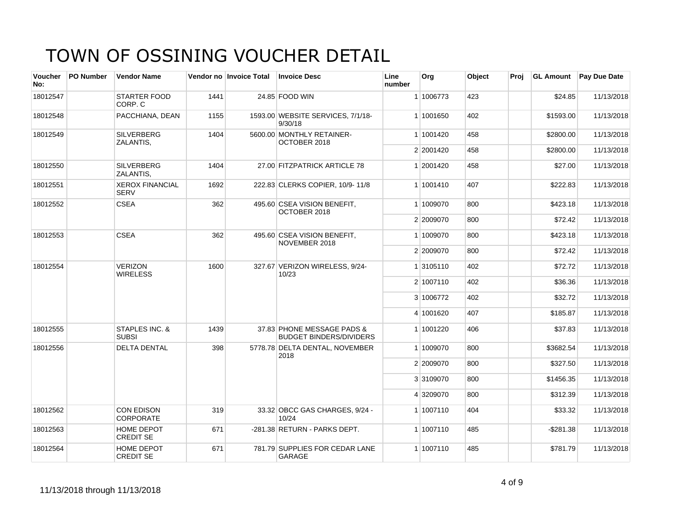| <b>Voucher</b><br>No: | PO Number | <b>Vendor Name</b>                    |      | Vendor no Invoice Total | <b>Invoice Desc</b>                                          | Line<br>number | Org       | Object | Proj | <b>GL Amount</b> | <b>Pay Due Date</b> |
|-----------------------|-----------|---------------------------------------|------|-------------------------|--------------------------------------------------------------|----------------|-----------|--------|------|------------------|---------------------|
| 18012547              |           | <b>STARTER FOOD</b><br>CORP. C        | 1441 |                         | 24.85 FOOD WIN                                               |                | 1 1006773 | 423    |      | \$24.85          | 11/13/2018          |
| 18012548              |           | PACCHIANA, DEAN                       | 1155 |                         | 1593.00 WEBSITE SERVICES, 7/1/18-<br>9/30/18                 |                | 1 1001650 | 402    |      | \$1593.00        | 11/13/2018          |
| 18012549              |           | <b>SILVERBERG</b><br>ZALANTIS,        | 1404 |                         | 5600.00 MONTHLY RETAINER-<br>OCTOBER 2018                    |                | 1 1001420 | 458    |      | \$2800.00        | 11/13/2018          |
|                       |           |                                       |      |                         |                                                              |                | 2 2001420 | 458    |      | \$2800.00        | 11/13/2018          |
| 18012550              |           | <b>SILVERBERG</b><br>ZALANTIS,        | 1404 |                         | 27.00 FITZPATRICK ARTICLE 78                                 |                | 1 2001420 | 458    |      | \$27.00          | 11/13/2018          |
| 18012551              |           | <b>XEROX FINANCIAL</b><br><b>SERV</b> | 1692 |                         | 222.83 CLERKS COPIER, 10/9-11/8                              |                | 1 1001410 | 407    |      | \$222.83         | 11/13/2018          |
| 18012552              |           | <b>CSEA</b>                           | 362  |                         | 495.60 CSEA VISION BENEFIT,<br>OCTOBER 2018                  |                | 1 1009070 | 800    |      | \$423.18         | 11/13/2018          |
|                       |           |                                       |      |                         |                                                              |                | 2 2009070 | 800    |      | \$72.42          | 11/13/2018          |
| 18012553              |           | <b>CSEA</b>                           | 362  |                         | 495.60 CSEA VISION BENEFIT,<br>NOVEMBER 2018                 |                | 1 1009070 | 800    |      | \$423.18         | 11/13/2018          |
|                       |           |                                       |      |                         |                                                              |                | 2 2009070 | 800    |      | \$72.42          | 11/13/2018          |
| 18012554              |           | <b>VERIZON</b><br><b>WIRELESS</b>     | 1600 |                         | 327.67 VERIZON WIRELESS, 9/24-<br>10/23                      |                | 1 3105110 | 402    |      | \$72.72          | 11/13/2018          |
|                       |           |                                       |      |                         |                                                              |                | 2 1007110 | 402    |      | \$36.36          | 11/13/2018          |
|                       |           |                                       |      |                         |                                                              |                | 3 1006772 | 402    |      | \$32.72          | 11/13/2018          |
|                       |           |                                       |      |                         |                                                              |                | 4 1001620 | 407    |      | \$185.87         | 11/13/2018          |
| 18012555              |           | STAPLES INC. &<br><b>SUBSI</b>        | 1439 |                         | 37.83 PHONE MESSAGE PADS &<br><b>BUDGET BINDERS/DIVIDERS</b> |                | 1 1001220 | 406    |      | \$37.83          | 11/13/2018          |
| 18012556              |           | <b>DELTA DENTAL</b>                   | 398  |                         | 5778.78 DELTA DENTAL, NOVEMBER<br>2018                       |                | 1 1009070 | 800    |      | \$3682.54        | 11/13/2018          |
|                       |           |                                       |      |                         |                                                              |                | 2 2009070 | 800    |      | \$327.50         | 11/13/2018          |
|                       |           |                                       |      |                         |                                                              |                | 3 3109070 | 800    |      | \$1456.35        | 11/13/2018          |
|                       |           |                                       |      |                         |                                                              |                | 4 3209070 | 800    |      | \$312.39         | 11/13/2018          |
| 18012562              |           | <b>CON EDISON</b><br><b>CORPORATE</b> | 319  |                         | 33.32 OBCC GAS CHARGES, 9/24 -<br>10/24                      |                | 1 1007110 | 404    |      | \$33.32          | 11/13/2018          |
| 18012563              |           | HOME DEPOT<br><b>CREDIT SE</b>        | 671  |                         | -281.38 RETURN - PARKS DEPT.                                 |                | 1 1007110 | 485    |      | $-$ \$281.38     | 11/13/2018          |
| 18012564              |           | HOME DEPOT<br><b>CREDIT SE</b>        | 671  |                         | 781.79 SUPPLIES FOR CEDAR LANE<br>GARAGE                     |                | 1 1007110 | 485    |      | \$781.79         | 11/13/2018          |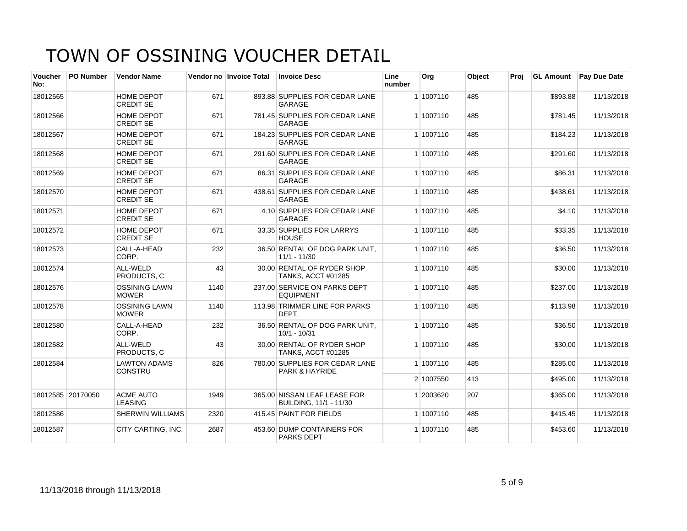| <b>Voucher</b><br>No: | PO Number         | <b>Vendor Name</b>                    |      | Vendor no Invoice Total | <b>Invoice Desc</b>                                    | Line<br>number | Org       | Object | Proi | <b>GL Amount</b> | <b>Pay Due Date</b> |
|-----------------------|-------------------|---------------------------------------|------|-------------------------|--------------------------------------------------------|----------------|-----------|--------|------|------------------|---------------------|
| 18012565              |                   | <b>HOME DEPOT</b><br><b>CREDIT SE</b> | 671  |                         | 893.88 SUPPLIES FOR CEDAR LANE<br>GARAGE               |                | 1 1007110 | 485    |      | \$893.88         | 11/13/2018          |
| 18012566              |                   | <b>HOME DEPOT</b><br><b>CREDIT SE</b> | 671  |                         | 781.45 SUPPLIES FOR CEDAR LANE<br><b>GARAGE</b>        |                | 1 1007110 | 485    |      | \$781.45         | 11/13/2018          |
| 18012567              |                   | <b>HOME DEPOT</b><br><b>CREDIT SE</b> | 671  |                         | 184.23 SUPPLIES FOR CEDAR LANE<br><b>GARAGE</b>        |                | 1 1007110 | 485    |      | \$184.23         | 11/13/2018          |
| 18012568              |                   | <b>HOME DEPOT</b><br><b>CREDIT SE</b> | 671  |                         | 291.60 SUPPLIES FOR CEDAR LANE<br>GARAGE               |                | 1 1007110 | 485    |      | \$291.60         | 11/13/2018          |
| 18012569              |                   | HOME DEPOT<br><b>CREDIT SE</b>        | 671  |                         | 86.31 SUPPLIES FOR CEDAR LANE<br><b>GARAGE</b>         |                | 1 1007110 | 485    |      | \$86.31          | 11/13/2018          |
| 18012570              |                   | <b>HOME DEPOT</b><br><b>CREDIT SE</b> | 671  |                         | 438.61 SUPPLIES FOR CEDAR LANE<br>GARAGE               |                | 1 1007110 | 485    |      | \$438.61         | 11/13/2018          |
| 18012571              |                   | <b>HOME DEPOT</b><br><b>CREDIT SE</b> | 671  |                         | 4.10 SUPPLIES FOR CEDAR LANE<br>GARAGE                 |                | 1 1007110 | 485    |      | \$4.10           | 11/13/2018          |
| 18012572              |                   | HOME DEPOT<br><b>CREDIT SE</b>        | 671  |                         | 33.35 SUPPLIES FOR LARRYS<br><b>HOUSE</b>              |                | 1 1007110 | 485    |      | \$33.35          | 11/13/2018          |
| 18012573              |                   | CALL-A-HEAD<br>CORP.                  | 232  |                         | 36.50 RENTAL OF DOG PARK UNIT.<br>$11/1 - 11/30$       |                | 1 1007110 | 485    |      | \$36.50          | 11/13/2018          |
| 18012574              |                   | ALL-WELD<br>PRODUCTS. C               | 43   |                         | 30.00 RENTAL OF RYDER SHOP<br>TANKS, ACCT #01285       |                | 1 1007110 | 485    |      | \$30.00          | 11/13/2018          |
| 18012576              |                   | <b>OSSINING LAWN</b><br><b>MOWER</b>  | 1140 |                         | 237.00 SERVICE ON PARKS DEPT<br><b>EQUIPMENT</b>       |                | 1 1007110 | 485    |      | \$237.00         | 11/13/2018          |
| 18012578              |                   | <b>OSSINING LAWN</b><br><b>MOWER</b>  | 1140 |                         | 113.98 TRIMMER LINE FOR PARKS<br>DEPT.                 |                | 1 1007110 | 485    |      | \$113.98         | 11/13/2018          |
| 18012580              |                   | CALL-A-HEAD<br>CORP.                  | 232  |                         | 36.50 RENTAL OF DOG PARK UNIT,<br>$10/1 - 10/31$       |                | 1 1007110 | 485    |      | \$36.50          | 11/13/2018          |
| 18012582              |                   | ALL-WELD<br>PRODUCTS, C               | 43   |                         | 30.00 RENTAL OF RYDER SHOP<br>TANKS, ACCT #01285       |                | 1 1007110 | 485    |      | \$30.00          | 11/13/2018          |
| 18012584              |                   | <b>LAWTON ADAMS</b><br><b>CONSTRU</b> | 826  |                         | 780.00 SUPPLIES FOR CEDAR LANE<br>PARK & HAYRIDE       |                | 1 1007110 | 485    |      | \$285.00         | 11/13/2018          |
|                       |                   |                                       |      |                         |                                                        |                | 2 1007550 | 413    |      | \$495.00         | 11/13/2018          |
|                       | 18012585 20170050 | <b>ACME AUTO</b><br><b>LEASING</b>    | 1949 |                         | 365.00 NISSAN LEAF LEASE FOR<br>BUILDING, 11/1 - 11/30 |                | 1 2003620 | 207    |      | \$365.00         | 11/13/2018          |
| 18012586              |                   | <b>SHERWIN WILLIAMS</b>               | 2320 |                         | 415.45 PAINT FOR FIELDS                                |                | 1 1007110 | 485    |      | \$415.45         | 11/13/2018          |
| 18012587              |                   | <b>CITY CARTING, INC.</b>             | 2687 |                         | 453.60 DUMP CONTAINERS FOR<br><b>PARKS DEPT</b>        |                | 1 1007110 | 485    |      | \$453.60         | 11/13/2018          |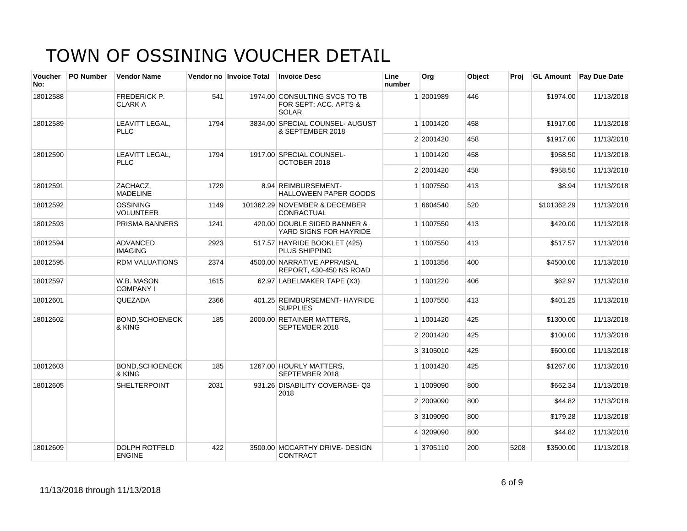| <b>Voucher</b><br>No: | PO Number | <b>Vendor Name</b>                    |      | Vendor no Invoice Total | <b>Invoice Desc</b>                                                    | Line<br>number | Org       | Object | Proj | <b>GL Amount</b> | Pay Due Date |
|-----------------------|-----------|---------------------------------------|------|-------------------------|------------------------------------------------------------------------|----------------|-----------|--------|------|------------------|--------------|
| 18012588              |           | FREDERICK P.<br><b>CLARK A</b>        | 541  |                         | 1974.00 CONSULTING SVCS TO TB<br>FOR SEPT: ACC. APTS &<br><b>SOLAR</b> |                | 1 2001989 | 446    |      | \$1974.00        | 11/13/2018   |
| 18012589              |           | LEAVITT LEGAL,<br><b>PLLC</b>         | 1794 |                         | 3834.00 SPECIAL COUNSEL-AUGUST<br>& SEPTEMBER 2018                     |                | 1 1001420 | 458    |      | \$1917.00        | 11/13/2018   |
|                       |           |                                       |      |                         |                                                                        |                | 2 2001420 | 458    |      | \$1917.00        | 11/13/2018   |
| 18012590              |           | LEAVITT LEGAL,<br><b>PLLC</b>         | 1794 |                         | 1917.00 SPECIAL COUNSEL-<br>OCTOBER 2018                               |                | 1 1001420 | 458    |      | \$958.50         | 11/13/2018   |
|                       |           |                                       |      |                         |                                                                        |                | 2 2001420 | 458    |      | \$958.50         | 11/13/2018   |
| 18012591              |           | ZACHACZ.<br><b>MADELINE</b>           | 1729 |                         | 8.94 REIMBURSEMENT-<br><b>HALLOWEEN PAPER GOODS</b>                    |                | 1 1007550 | 413    |      | \$8.94           | 11/13/2018   |
| 18012592              |           | <b>OSSINING</b><br><b>VOLUNTEER</b>   | 1149 |                         | 101362.29 NOVEMBER & DECEMBER<br>CONRACTUAL                            |                | 1 6604540 | 520    |      | \$101362.29      | 11/13/2018   |
| 18012593              |           | PRISMA BANNERS                        | 1241 |                         | 420.00 DOUBLE SIDED BANNER &<br>YARD SIGNS FOR HAYRIDE                 |                | 1 1007550 | 413    |      | \$420.00         | 11/13/2018   |
| 18012594              |           | <b>ADVANCED</b><br><b>IMAGING</b>     | 2923 |                         | 517.57 HAYRIDE BOOKLET (425)<br><b>PLUS SHIPPING</b>                   |                | 1 1007550 | 413    |      | \$517.57         | 11/13/2018   |
| 18012595              |           | <b>RDM VALUATIONS</b>                 | 2374 |                         | 4500.00 NARRATIVE APPRAISAL<br>REPORT, 430-450 NS ROAD                 |                | 1 1001356 | 400    |      | \$4500.00        | 11/13/2018   |
| 18012597              |           | W.B. MASON<br><b>COMPANY I</b>        | 1615 |                         | 62.97 LABELMAKER TAPE (X3)                                             |                | 1 1001220 | 406    |      | \$62.97          | 11/13/2018   |
| 18012601              |           | <b>QUEZADA</b>                        | 2366 |                         | 401.25 REIMBURSEMENT- HAYRIDE<br><b>SUPPLIES</b>                       |                | 1 1007550 | 413    |      | \$401.25         | 11/13/2018   |
| 18012602              |           | <b>BOND.SCHOENECK</b><br>& KING       | 185  |                         | 2000.00 RETAINER MATTERS.<br>SEPTEMBER 2018                            |                | 1 1001420 | 425    |      | \$1300.00        | 11/13/2018   |
|                       |           |                                       |      |                         |                                                                        |                | 2 2001420 | 425    |      | \$100.00         | 11/13/2018   |
|                       |           |                                       |      |                         |                                                                        |                | 3 3105010 | 425    |      | \$600.00         | 11/13/2018   |
| 18012603              |           | <b>BOND, SCHOENECK</b><br>& KING      | 185  |                         | 1267.00 HOURLY MATTERS.<br>SEPTEMBER 2018                              |                | 1 1001420 | 425    |      | \$1267.00        | 11/13/2018   |
| 18012605              |           | <b>SHELTERPOINT</b>                   | 2031 |                         | 931.26 DISABILITY COVERAGE-Q3<br>2018                                  |                | 1 1009090 | 800    |      | \$662.34         | 11/13/2018   |
|                       |           |                                       |      |                         |                                                                        |                | 2 2009090 | 800    |      | \$44.82          | 11/13/2018   |
|                       |           |                                       |      |                         |                                                                        |                | 3 3109090 | 800    |      | \$179.28         | 11/13/2018   |
|                       |           |                                       |      |                         |                                                                        |                | 4 3209090 | 800    |      | \$44.82          | 11/13/2018   |
| 18012609              |           | <b>DOLPH ROTFELD</b><br><b>ENGINE</b> | 422  |                         | 3500.00 MCCARTHY DRIVE- DESIGN<br><b>CONTRACT</b>                      |                | 1 3705110 | 200    | 5208 | \$3500.00        | 11/13/2018   |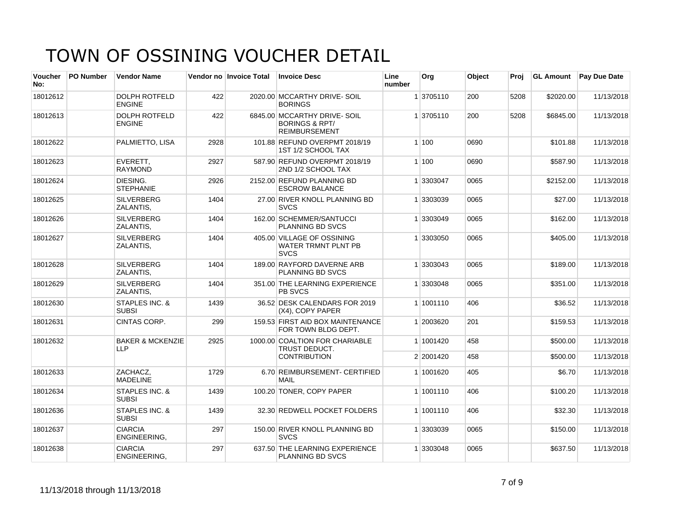| <b>Voucher</b><br>No: | <b>PO Number</b> | <b>Vendor Name</b>                        |      | Vendor no Invoice Total | <b>Invoice Desc</b>                                                              | Line<br>number | Org       | Object | Proj | <b>GL Amount</b> | <b>Pay Due Date</b> |
|-----------------------|------------------|-------------------------------------------|------|-------------------------|----------------------------------------------------------------------------------|----------------|-----------|--------|------|------------------|---------------------|
| 18012612              |                  | <b>DOLPH ROTFELD</b><br><b>ENGINE</b>     | 422  |                         | 2020.00 MCCARTHY DRIVE- SOIL<br><b>BORINGS</b>                                   |                | 1 3705110 | 200    | 5208 | \$2020.00        | 11/13/2018          |
| 18012613              |                  | <b>DOLPH ROTFELD</b><br><b>ENGINE</b>     | 422  |                         | 6845.00 MCCARTHY DRIVE-SOIL<br><b>BORINGS &amp; RPT/</b><br><b>REIMBURSEMENT</b> |                | 1 3705110 | 200    | 5208 | \$6845.00        | 11/13/2018          |
| 18012622              |                  | PALMIETTO, LISA                           | 2928 |                         | 101.88 REFUND OVERPMT 2018/19<br>1ST 1/2 SCHOOL TAX                              |                | 1 100     | 0690   |      | \$101.88         | 11/13/2018          |
| 18012623              |                  | EVERETT.<br><b>RAYMOND</b>                | 2927 |                         | 587.90 REFUND OVERPMT 2018/19<br>2ND 1/2 SCHOOL TAX                              |                | 1 100     | 0690   |      | \$587.90         | 11/13/2018          |
| 18012624              |                  | DIESING.<br><b>STEPHANIE</b>              | 2926 |                         | 2152.00 REFUND PLANNING BD<br><b>ESCROW BALANCE</b>                              |                | 1 3303047 | 0065   |      | \$2152.00        | 11/13/2018          |
| 18012625              |                  | <b>SILVERBERG</b><br>ZALANTIS,            | 1404 |                         | 27.00 RIVER KNOLL PLANNING BD<br><b>SVCS</b>                                     |                | 1 3303039 | 0065   |      | \$27.00          | 11/13/2018          |
| 18012626              |                  | <b>SILVERBERG</b><br>ZALANTIS.            | 1404 |                         | 162.00 SCHEMMER/SANTUCCI<br><b>PLANNING BD SVCS</b>                              |                | 1 3303049 | 0065   |      | \$162.00         | 11/13/2018          |
| 18012627              |                  | <b>SILVERBERG</b><br>ZALANTIS,            | 1404 |                         | 405.00 VILLAGE OF OSSINING<br><b>WATER TRMNT PLNT PB</b><br><b>SVCS</b>          |                | 1 3303050 | 0065   |      | \$405.00         | 11/13/2018          |
| 18012628              |                  | <b>SILVERBERG</b><br>ZALANTIS.            | 1404 |                         | 189.00 RAYFORD DAVERNE ARB<br>PLANNING BD SVCS                                   |                | 1 3303043 | 0065   |      | \$189.00         | 11/13/2018          |
| 18012629              |                  | <b>SILVERBERG</b><br>ZALANTIS.            | 1404 |                         | 351.00 THE LEARNING EXPERIENCE<br>PB SVCS                                        |                | 1 3303048 | 0065   |      | \$351.00         | 11/13/2018          |
| 18012630              |                  | <b>STAPLES INC. &amp;</b><br><b>SUBSI</b> | 1439 |                         | 36.52 DESK CALENDARS FOR 2019<br>(X4), COPY PAPER                                |                | 1 1001110 | 406    |      | \$36.52          | 11/13/2018          |
| 18012631              |                  | CINTAS CORP.                              | 299  |                         | 159.53 FIRST AID BOX MAINTENANCE<br>FOR TOWN BLDG DEPT.                          |                | 1 2003620 | 201    |      | \$159.53         | 11/13/2018          |
| 18012632              |                  | <b>BAKER &amp; MCKENZIE</b><br><b>LLP</b> | 2925 |                         | 1000.00 COALTION FOR CHARIABLE<br>TRUST DEDUCT.                                  |                | 1 1001420 | 458    |      | \$500.00         | 11/13/2018          |
|                       |                  |                                           |      |                         | <b>CONTRIBUTION</b>                                                              |                | 2 2001420 | 458    |      | \$500.00         | 11/13/2018          |
| 18012633              |                  | ZACHACZ,<br><b>MADELINE</b>               | 1729 |                         | 6.70 REIMBURSEMENT- CERTIFIED<br><b>MAIL</b>                                     |                | 1 1001620 | 405    |      | \$6.70           | 11/13/2018          |
| 18012634              |                  | <b>STAPLES INC. &amp;</b><br><b>SUBSI</b> | 1439 |                         | 100.20 TONER, COPY PAPER                                                         |                | 1 1001110 | 406    |      | \$100.20         | 11/13/2018          |
| 18012636              |                  | STAPLES INC. &<br><b>SUBSI</b>            | 1439 |                         | 32.30 REDWELL POCKET FOLDERS                                                     |                | 1 1001110 | 406    |      | \$32.30          | 11/13/2018          |
| 18012637              |                  | <b>CIARCIA</b><br>ENGINEERING.            | 297  |                         | 150.00 RIVER KNOLL PLANNING BD<br><b>SVCS</b>                                    |                | 1 3303039 | 0065   |      | \$150.00         | 11/13/2018          |
| 18012638              |                  | <b>CIARCIA</b><br><b>ENGINEERING.</b>     | 297  |                         | 637.50 THE LEARNING EXPERIENCE<br><b>PLANNING BD SVCS</b>                        |                | 1 3303048 | 0065   |      | \$637.50         | 11/13/2018          |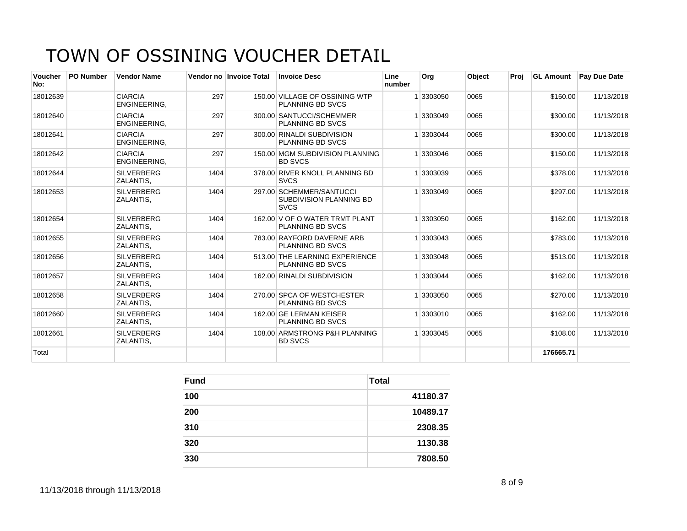| <b>Voucher</b><br>No: | <b>PO Number</b> | <b>Vendor Name</b>             |      | Vendor no Invoice Total | <b>Invoice Desc</b>                                                | Line<br>number | Org     | Object | Proj | <b>GL Amount</b> | <b>Pav Due Date</b> |
|-----------------------|------------------|--------------------------------|------|-------------------------|--------------------------------------------------------------------|----------------|---------|--------|------|------------------|---------------------|
| 18012639              |                  | <b>CIARCIA</b><br>ENGINEERING. | 297  |                         | 150.00 VILLAGE OF OSSINING WTP<br><b>PLANNING BD SVCS</b>          |                | 3303050 | 0065   |      | \$150.00         | 11/13/2018          |
| 18012640              |                  | <b>CIARCIA</b><br>ENGINEERING, | 297  |                         | 300.00 SANTUCCI/SCHEMMER<br><b>PLANNING BD SVCS</b>                |                | 3303049 | 0065   |      | \$300.00         | 11/13/2018          |
| 18012641              |                  | <b>CIARCIA</b><br>ENGINEERING, | 297  |                         | 300.00 RINALDI SUBDIVISION<br><b>PLANNING BD SVCS</b>              |                | 3303044 | 0065   |      | \$300.00         | 11/13/2018          |
| 18012642              |                  | <b>CIARCIA</b><br>ENGINEERING. | 297  |                         | 150.00 MGM SUBDIVISION PLANNING<br><b>BD SVCS</b>                  |                | 3303046 | 0065   |      | \$150.00         | 11/13/2018          |
| 18012644              |                  | <b>SILVERBERG</b><br>ZALANTIS. | 1404 |                         | 378.00 RIVER KNOLL PLANNING BD<br><b>SVCS</b>                      |                | 3303039 | 0065   |      | \$378.00         | 11/13/2018          |
| 18012653              |                  | <b>SILVERBERG</b><br>ZALANTIS, | 1404 |                         | 297.00 SCHEMMER/SANTUCCI<br>SUBDIVISION PLANNING BD<br><b>SVCS</b> |                | 3303049 | 0065   |      | \$297.00         | 11/13/2018          |
| 18012654              |                  | <b>SILVERBERG</b><br>ZALANTIS. | 1404 |                         | 162.00 V OF O WATER TRMT PLANT<br><b>PLANNING BD SVCS</b>          |                | 3303050 | 0065   |      | \$162.00         | 11/13/2018          |
| 18012655              |                  | <b>SILVERBERG</b><br>ZALANTIS. | 1404 |                         | 783.00 RAYFORD DAVERNE ARB<br><b>PLANNING BD SVCS</b>              |                | 3303043 | 0065   |      | \$783.00         | 11/13/2018          |
| 18012656              |                  | <b>SILVERBERG</b><br>ZALANTIS. | 1404 |                         | 513.00 THE LEARNING EXPERIENCE<br><b>PLANNING BD SVCS</b>          |                | 3303048 | 0065   |      | \$513.00         | 11/13/2018          |
| 18012657              |                  | <b>SILVERBERG</b><br>ZALANTIS. | 1404 |                         | 162.00 RINALDI SUBDIVISION                                         |                | 3303044 | 0065   |      | \$162.00         | 11/13/2018          |
| 18012658              |                  | <b>SILVERBERG</b><br>ZALANTIS, | 1404 |                         | 270.00 SPCA OF WESTCHESTER<br><b>PLANNING BD SVCS</b>              |                | 3303050 | 0065   |      | \$270.00         | 11/13/2018          |
| 18012660              |                  | <b>SILVERBERG</b><br>ZALANTIS, | 1404 |                         | 162.00 GE LERMAN KEISER<br><b>PLANNING BD SVCS</b>                 |                | 3303010 | 0065   |      | \$162.00         | 11/13/2018          |
| 18012661              |                  | <b>SILVERBERG</b><br>ZALANTIS, | 1404 |                         | 108.00 ARMSTRONG P&H PLANNING<br><b>BD SVCS</b>                    |                | 3303045 | 0065   |      | \$108.00         | 11/13/2018          |
| Total                 |                  |                                |      |                         |                                                                    |                |         |        |      | 176665.71        |                     |

| <b>Fund</b> | Total    |
|-------------|----------|
| 100         | 41180.37 |
| 200         | 10489.17 |
| 310         | 2308.35  |
| 320         | 1130.38  |
| 330         | 7808.50  |